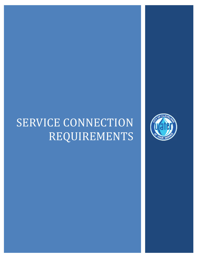# SERVICE CONNECTION REQUIREMENTS

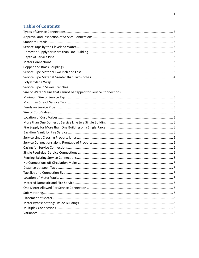# **Table of Contents**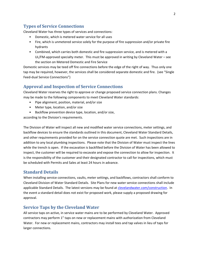# **Types of Service Connections**

Cleveland Water has three types of services and connections:

- Domestic, which is metered water service for all uses
- Fire, which is unmetered service solely for the purpose of fire suppression and/or private fire hydrants
- Combined, which carries both domestic and fire suppression service, and is metered with a UL/FM-approved specialty meter. This must be approved in writing by Cleveland Water – see the section on Metered Domestic and Fire Service

Domestic services may be teed off fire connections before the edge of the right of way. Thus only one tap may be required, however, the services shall be considered separate domestic and fire. (see "Single Feed‐dual Service Connections")

#### **Approval and Inspection of Service Connections**

Cleveland Water reserves the right to approve or change proposed service connection plans. Changes may be made to the following components to meet Cleveland Water standards:

- Pipe alignment, position, material, and/or size
- Meter type, location, and/or size
- Backflow prevention device type, location, and/or size,

according to the Division's requirements.

The Division of Water will inspect all new and modified water service connections, meter settings, and backflow devices to ensure the standards outlined in this document, Cleveland Water Standard Details, and other requirements provided for on the service connection quote are met. Such inspections are in addition to any local plumbing inspections. Please note that the Division of Water must inspect the lines while the trench is open. If the excavation is backfilled before the Division of Water has been allowed to inspect, the customer will be required to excavate and expose the connection to allow for inspection. It is the responsibility of the customer and their designated contractor to call for inspections, which must be scheduled with Permits and Sales at least 24 hours in advance.

#### **Standard Details**

When installing service connections, vaults, meter settings, and backflows, contractors shall conform to Cleveland Division of Water Standard Details. Site Plans for new water service connections shall include applicable Standard Details. The latest versions may be found at clevelandwater.com/construction. In the event a standard detail does not exist for proposed work, please supply a proposed drawing for approval.

#### **Service Taps by the Cleveland Water**

All service taps on active, in service water mains are to be performed by Cleveland Water. Approved contractors may perform 1" taps on new or replacement mains with authorization from Cleveland Water. For new or replacement mains, contractors may install tees and tap valves in lieu of taps for larger connections.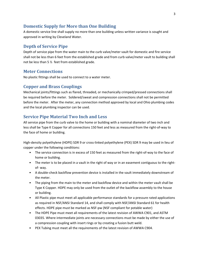# **Domestic Supply for More than One Building**

A domestic service line shall supply no more than one building unless written variance is sought and approved in writing by Cleveland Water.

# **Depth of Service Pipe**

Depth of service pipe from the water main to the curb valve/meter vault for domestic and fire service shall not be less than 6 feet from the established grade and from curb valve/meter vault to building shall not be less than 5 ½ feet from established grade.

#### **Meter Connections**

No plastic fittings shall be used to connect to a water meter.

#### **Copper and Brass Couplings**

Mechanical joints/fittings such as flared, threaded, or mechanically crimped/pressed connections shall be required before the meter. Soldered/sweat and compression connections shall not be permitted before the meter. After the meter, any connection method approved by local and Ohio plumbing codes and the local plumbing inspector can be used.

# **Service Pipe Material Two Inch and Less**

All service pipe from the curb valve to the home or building with a nominal diameter of two inch and less shall be Type K Copper for all connections 150 feet and less as measured from the right‐of‐way to the face of home or building.

High-density polyethylene (HDPE) SDR 9 or cross-linked polyethylene (PEX) SDR 9 may be used in lieu of copper under the following conditions:

- The service connection is in excess of 150 feet as measured from the right-of-way to the face of home or building.
- The meter is to be placed in a vault in the right of way or in an easement contiguous to the rightof‐ way.
- A double-check backflow prevention device is installed in the vault immediately downstream of the meter.
- The piping from the main to the meter and backflow device and within the meter vault shall be Type K Copper. HDPE may only be used from the outlet of the backflow assembly to the house or building.
- All Plastic pipe must meet all applicable performance standards for a pressure rated applications as required in NSF/ANSI Standard 14, and shall comply with NSF/ANSI Standard 61 for health effects. HDPE pipe must be marked as NSF‐pw (NSF compliant for potable water)
- The HDPE Pipe must meet all requirements of the latest revision of AWWA C901, and ASTM 03035. Where intermediate joints are necessary connections must be made by either the use of a compression coupling with insert rings or by creating a fusion butt weld.
- PEX Tubing must meet all the requirements of the latest revision of AWWA C904.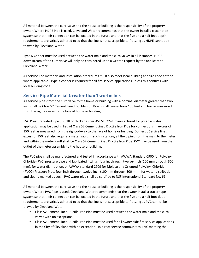All material between the curb valve and the house or building is the responsibility of the property owner. Where HDPE Pipe is used, Cleveland Water recommends that the owner install a tracer tape system so that their connection can be located in the future and that the five and a half feet depth requirements are strictly adhered to so that the line is not susceptible to freezing as HDPE cannot be thawed by Cleveland Water.

Type K Copper must be used between the water main and the curb valves in all instances. HDPE downstream of the curb valve will only be considered upon a written request by the applicant to Cleveland Water.

All service line materials and installation procedures must also meet local building and fire code criteria where applicable. Type K copper is required for all fire service applications unless this conflicts with local building code.

# **Service Pipe Material Greater than Two‐Inches**

All service pipes from the curb valve to the home or building with a nominal diameter greater than two inch shall be Class 52 Cement Lined Ductile Iron Pipe for all connections 150 feet and less as measured from the right‐of‐way to the face of home or building.

PVC Pressure Rated Pipe SDR 18 or thicker as per ASTM 02241 manufactured for potable water application may be used in lieu of Class 52 Cement Lined Ductile Iron Pipe for connections in excess of 150 feet as measured from the right‐of‐way to the face of home or building. Domestic Service lines in excess of 150 feet also require a meter vault. In such instances, all the piping from the main to the meter and within the meter vault shall be Class 52 Cement Lined Ductile Iron Pipe. PVC may be used from the outlet of the meter assembly to the house or building.

The PVC pipe shall be manufactured and tested in accordance with AWWA Standard C900 for Polyvinyl Chloride (PVC) pressure pipe and fabricated fittings, four in. through twelve‐ inch (100 mm through 300 mm), for water distribution, or AWWA standard C909 for Molecularly Oriented Polyvinyl Chloride (PVCO) Pressure Pipe, four‐inch through twelve‐inch (100 mm through 300 mm), for water distribution and clearly marked as such. PVC water pipe shall be certified to NSF International Standard No. 61.

All material between the curb valve and the house or building is the responsibility of the property owner. Where PVC Pipe is used, Cleveland Water recommends that the owner install a tracer tape system so that their connection can be located in the future and that the five and a half foot depth requirements are strictly adhered to so that the line is not susceptible to freezing as PVC cannot be thawed by Cleveland Water.

- Class 52 Cement Lined Ductile Iron Pipe must be used between the water main and the curb valves with no exceptions.
- Class 52 Cement Lined Ductile Iron Pipe must be used for all owner side fire service applications in the City of Cleveland with no exception. In direct service communities, PVC meeting the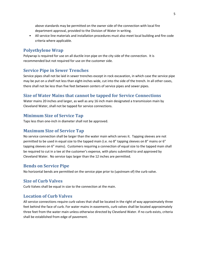above standards may be permitted on the owner side of the connection with local fire department approval, provided to the Division of Water in writing.

• All service line materials and installation procedures must also meet local building and fire code criteria where applicable.

#### **Polyethylene Wrap**

Polywrap is required for use on all ductile iron pipe on the city side of the connection. It is recommended but not required for use on the customer side.

#### **Service Pipe in Sewer Trenches**

Service pipes shall not be laid in sewer trenches except in rock excavation, in which case the service pipe may be put on a shelf not less than eight-inches wide, cut into the side of the trench. In all other cases, there shall not be less than five feet between centers of service pipes and sewer pipes.

#### **Size of Water Mains that cannot be tapped for Service Connections**

Water mains 20 inches and larger, as well as any 16 inch main designated a transmission main by Cleveland Water, shall not be tapped for service connections.

#### **Minimum Size of Service Tap**

Taps less than one‐inch in diameter shall not be approved.

#### **Maximum Size of Service Tap**

No service connection shall be larger than the water main which serves it. Tapping sleeves are not permitted to be used in equal size to the tapped main (i.e. no 8" tapping sleeves on 8" mains or 6" tapping sleeves on 6" mains). Customers requiring a connection of equal size to the tapped main shall be required to cut in a tee at the customer's expense, with plans submitted to and approved by Cleveland Water. No service taps larger than the 12 inches are permitted.

#### **Bends on Service Pipe**

No horizontal bends are permitted on the service pipe prior to (upstream of) the curb valve.

#### **Size of Curb Valves**

Curb Valves shall be equal in size to the connection at the main.

# **Location of Curb Valves**

All service connections require curb valves that shall be located in the right of way approximately three feet behind the face of curb. For water mains in easements, curb valves shall be located approximately three feet from the water main unless otherwise directed by Cleveland Water. If no curb exists, criteria shall be established from edge of pavement.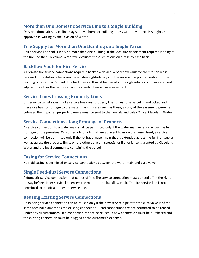# **More than One Domestic Service Line to a Single Building**

Only one domestic service line may supply a home or building unless written variance is sought and approved in writing by the Division of Water.

#### **Fire Supply for More than One Building on a Single Parcel**

A fire service line shall supply no more than one building. If the local fire department requires looping of the fire line then Cleveland Water will evaluate these situations on a case by case basis.

#### **Backflow Vault for Fire Service**

All private fire service connections require a backflow device. A backflow vault for the fire service is required if the distance between the existing right‐of‐way and the service line point of entry into the building is more than 50 feet. The backflow vault must be placed in the right‐of‐way or in an easement adjacent to either the right‐of‐way or a standard water main easement.

#### **Service Lines Crossing Property Lines**

Under no circumstances shall a service line cross property lines unless one parcel is landlocked and therefore has no frontage to the water main. In cases such as these, a copy of the easement agreement between the impacted property owners must be sent to the Permits and Sales Office, Cleveland Water.

#### **Service Connections along Frontage of Property**

A service connection to a water main shall be permitted only if the water main extends across the full frontage of the premises. On corner lots or lots that are adjacent to more than one street, a service connection will be permitted only if the lot has a water main that is extended across the full frontage as well as across the property limits on the other adjacent street(s) or if a variance is granted by Cleveland Water and the local community containing the parcel.

#### **Casing for Service Connections**

No rigid casing is permitted on service connections between the water main and curb valve.

#### **Single Feed‐dual Service Connections**

A domestic service connection that comes off the fire service connection must be teed off in the right‐ of-way before either service line enters the meter or the backflow vault. The fire service line is not permitted to tee off a domestic service line.

#### **Reusing Existing Service Connections**

An existing service connection can be reused only if the new service pipe after the curb valve is of the same nominal diameter as the existing connection. Lead connections are not permitted to be reused under any circumstances. If a connection cannot be reused, a new connection must be purchased and the existing connection must be plugged at the customer's expense.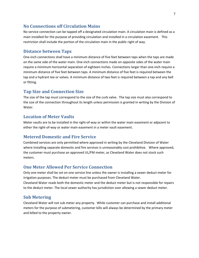# **No Connections off Circulation Mains**

No service connection can be tapped off a designated circulation main. A circulation main is defined as a main installed for the purpose of providing circulation and installed in a circulation easement. This restriction shall include the portion of the circulation main in the public right of way.

# **Distance between Taps**

One‐inch connections shall have a minimum distance of five feet between taps when the taps are made on the same side of the water main. One‐inch connections made on opposite sides of the water main require a minimum horizontal separation of eighteen inches. Connections larger than one‐inch require a minimum distance of five feet between taps. A minimum distance of five feet is required between the tap and a hydrant tee or valves. A minimum distance of two feet is required between a tap and any bell or fitting.

# **Tap Size and Connection Size**

The size of the tap must correspond to the size of the curb valve. The tap size must also correspond to the size of the connection throughout its length unless permission is granted in writing by the Division of Water.

# **Location of Meter Vaults**

Meter vaults are to be installed in the right‐of‐way or within the water main easement or adjacent to either the right-of-way or water main easement in a meter vault easement.

# **Metered Domestic and Fire Service**

Combined services are only permitted where approved in writing by the Cleveland Division of Water where installing separate domestic and fire services is unreasonably cost prohibitive. Where approved, the customer must purchase an approved UL/FM meter, as Cleveland Water does not stock such meters.

# **One Meter Allowed Per Service Connection**

Only one meter shall be set on one service line unless the owner is installing a sewer deduct meter for irrigation purposes. The deduct meter must be purchased from Cleveland Water. Cleveland Water reads both the domestic meter and the deduct meter but is not responsible for repairs to the deduct meter. The local sewer authority has jurisdiction over allowing a sewer deduct meter.

# **Sub Metering**

Cleveland Water will not sub meter any property. While customer can purchase and install additional meters for the purpose of submetering, customer bills will always be determined by the primary meter and billed to the property owner.